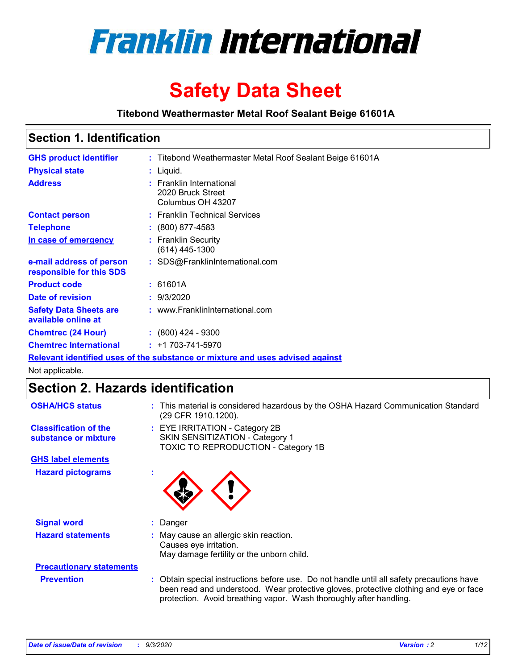

# **Safety Data Sheet**

**Titebond Weathermaster Metal Roof Sealant Beige 61601A**

### **Section 1. Identification**

| <b>GHS product identifier</b>                                                 |  | : Titebond Weathermaster Metal Roof Sealant Beige 61601A           |  |  |
|-------------------------------------------------------------------------------|--|--------------------------------------------------------------------|--|--|
| <b>Physical state</b>                                                         |  | : Liquid.                                                          |  |  |
| <b>Address</b>                                                                |  | : Franklin International<br>2020 Bruck Street<br>Columbus OH 43207 |  |  |
| <b>Contact person</b>                                                         |  | : Franklin Technical Services                                      |  |  |
| <b>Telephone</b>                                                              |  | $\div$ (800) 877-4583                                              |  |  |
| In case of emergency                                                          |  | : Franklin Security<br>$(614)$ 445-1300                            |  |  |
| e-mail address of person<br>responsible for this SDS                          |  | : SDS@FranklinInternational.com                                    |  |  |
| <b>Product code</b>                                                           |  | : 61601A                                                           |  |  |
| Date of revision                                                              |  | : 9/3/2020                                                         |  |  |
| <b>Safety Data Sheets are</b><br>available online at                          |  | : www.FranklinInternational.com                                    |  |  |
| <b>Chemtrec (24 Hour)</b>                                                     |  | $\div$ (800) 424 - 9300                                            |  |  |
| <b>Chemtrec International</b>                                                 |  | $: +1703 - 741 - 5970$                                             |  |  |
| Relevant identified uses of the substance or mixture and uses advised against |  |                                                                    |  |  |

Not applicable.

## **Section 2. Hazards identification**

| <b>OSHA/HCS status</b>                               |    | : This material is considered hazardous by the OSHA Hazard Communication Standard<br>(29 CFR 1910.1200).                                                                                                                                                 |  |  |  |
|------------------------------------------------------|----|----------------------------------------------------------------------------------------------------------------------------------------------------------------------------------------------------------------------------------------------------------|--|--|--|
| <b>Classification of the</b><br>substance or mixture |    | : EYE IRRITATION - Category 2B<br>SKIN SENSITIZATION - Category 1<br>TOXIC TO REPRODUCTION - Category 1B                                                                                                                                                 |  |  |  |
| <b>GHS label elements</b>                            |    |                                                                                                                                                                                                                                                          |  |  |  |
| <b>Hazard pictograms</b>                             | ٠  |                                                                                                                                                                                                                                                          |  |  |  |
| <b>Signal word</b>                                   | ÷. | Danger                                                                                                                                                                                                                                                   |  |  |  |
| <b>Hazard statements</b>                             |    | May cause an allergic skin reaction.<br>Causes eye irritation.<br>May damage fertility or the unborn child.                                                                                                                                              |  |  |  |
| <b>Precautionary statements</b>                      |    |                                                                                                                                                                                                                                                          |  |  |  |
| <b>Prevention</b>                                    |    | : Obtain special instructions before use. Do not handle until all safety precautions have<br>been read and understood. Wear protective gloves, protective clothing and eye or face<br>protection. Avoid breathing vapor. Wash thoroughly after handling. |  |  |  |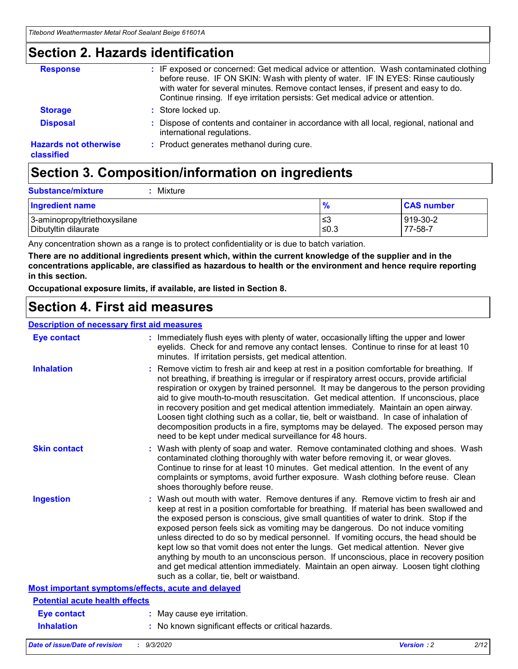### **Section 2. Hazards identification**

| <b>Response</b>                            | : IF exposed or concerned: Get medical advice or attention. Wash contaminated clothing<br>before reuse. IF ON SKIN: Wash with plenty of water. IF IN EYES: Rinse cautiously<br>with water for several minutes. Remove contact lenses, if present and easy to do.<br>Continue rinsing. If eye irritation persists: Get medical advice or attention. |
|--------------------------------------------|----------------------------------------------------------------------------------------------------------------------------------------------------------------------------------------------------------------------------------------------------------------------------------------------------------------------------------------------------|
| <b>Storage</b>                             | : Store locked up.                                                                                                                                                                                                                                                                                                                                 |
| <b>Disposal</b>                            | : Dispose of contents and container in accordance with all local, regional, national and<br>international regulations.                                                                                                                                                                                                                             |
| <b>Hazards not otherwise</b><br>classified | : Product generates methanol during cure.                                                                                                                                                                                                                                                                                                          |

## **Section 3. Composition/information on ingredients**

| <b>Substance/mixture</b> |  | Mixture |
|--------------------------|--|---------|
|--------------------------|--|---------|

| <b>Ingredient name</b>       | $\frac{9}{6}$ | <b>CAS number</b> |
|------------------------------|---------------|-------------------|
| 3-aminopropyltriethoxysilane | ≤3            | 919-30-2          |
| Dibutyltin dilaurate         | ∣≤0.3         | $77 - 58 - 1$     |

Any concentration shown as a range is to protect confidentiality or is due to batch variation.

**There are no additional ingredients present which, within the current knowledge of the supplier and in the concentrations applicable, are classified as hazardous to health or the environment and hence require reporting in this section.**

**Occupational exposure limits, if available, are listed in Section 8.**

### **Section 4. First aid measures**

| <b>Description of necessary first aid measures</b> |                                                                                                                                                                                                                                                                                                                                                                                                                                                                                                                                                                                                                                                                                                                                                                           |
|----------------------------------------------------|---------------------------------------------------------------------------------------------------------------------------------------------------------------------------------------------------------------------------------------------------------------------------------------------------------------------------------------------------------------------------------------------------------------------------------------------------------------------------------------------------------------------------------------------------------------------------------------------------------------------------------------------------------------------------------------------------------------------------------------------------------------------------|
| <b>Eye contact</b>                                 | : Immediately flush eyes with plenty of water, occasionally lifting the upper and lower<br>eyelids. Check for and remove any contact lenses. Continue to rinse for at least 10<br>minutes. If irritation persists, get medical attention.                                                                                                                                                                                                                                                                                                                                                                                                                                                                                                                                 |
| <b>Inhalation</b>                                  | : Remove victim to fresh air and keep at rest in a position comfortable for breathing. If<br>not breathing, if breathing is irregular or if respiratory arrest occurs, provide artificial<br>respiration or oxygen by trained personnel. It may be dangerous to the person providing<br>aid to give mouth-to-mouth resuscitation. Get medical attention. If unconscious, place<br>in recovery position and get medical attention immediately. Maintain an open airway.<br>Loosen tight clothing such as a collar, tie, belt or waistband. In case of inhalation of<br>decomposition products in a fire, symptoms may be delayed. The exposed person may<br>need to be kept under medical surveillance for 48 hours.                                                       |
| <b>Skin contact</b>                                | : Wash with plenty of soap and water. Remove contaminated clothing and shoes. Wash<br>contaminated clothing thoroughly with water before removing it, or wear gloves.<br>Continue to rinse for at least 10 minutes. Get medical attention. In the event of any<br>complaints or symptoms, avoid further exposure. Wash clothing before reuse. Clean<br>shoes thoroughly before reuse.                                                                                                                                                                                                                                                                                                                                                                                     |
| <b>Ingestion</b>                                   | : Wash out mouth with water. Remove dentures if any. Remove victim to fresh air and<br>keep at rest in a position comfortable for breathing. If material has been swallowed and<br>the exposed person is conscious, give small quantities of water to drink. Stop if the<br>exposed person feels sick as vomiting may be dangerous. Do not induce vomiting<br>unless directed to do so by medical personnel. If vomiting occurs, the head should be<br>kept low so that vomit does not enter the lungs. Get medical attention. Never give<br>anything by mouth to an unconscious person. If unconscious, place in recovery position<br>and get medical attention immediately. Maintain an open airway. Loosen tight clothing<br>such as a collar, tie, belt or waistband. |
| Most important symptoms/effects, acute and delayed |                                                                                                                                                                                                                                                                                                                                                                                                                                                                                                                                                                                                                                                                                                                                                                           |
| <b>Potential acute health effects</b>              |                                                                                                                                                                                                                                                                                                                                                                                                                                                                                                                                                                                                                                                                                                                                                                           |
| <b>Eye contact</b>                                 | : May cause eye irritation.                                                                                                                                                                                                                                                                                                                                                                                                                                                                                                                                                                                                                                                                                                                                               |
| <b>Inhalation</b>                                  | : No known significant effects or critical hazards.                                                                                                                                                                                                                                                                                                                                                                                                                                                                                                                                                                                                                                                                                                                       |
|                                                    |                                                                                                                                                                                                                                                                                                                                                                                                                                                                                                                                                                                                                                                                                                                                                                           |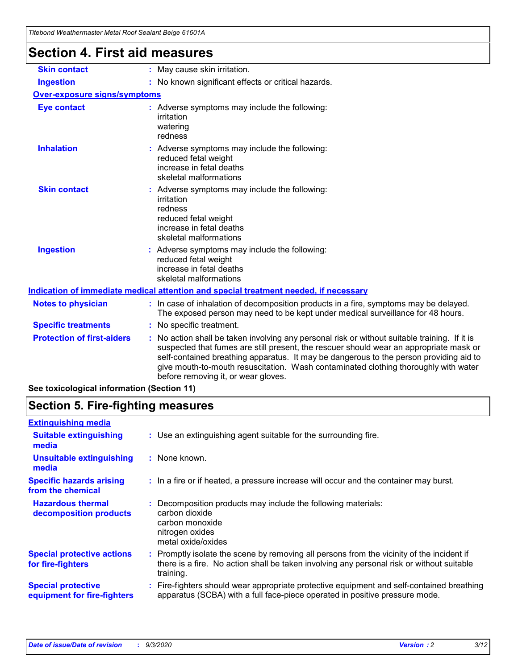| <u>Hiebona Wealhennasier Melar Koor Sealahi Belge 01001A</u> |                                                                                                                                                                                                                                                                                                                                                                                                                 |
|--------------------------------------------------------------|-----------------------------------------------------------------------------------------------------------------------------------------------------------------------------------------------------------------------------------------------------------------------------------------------------------------------------------------------------------------------------------------------------------------|
| <b>Section 4. First aid measures</b>                         |                                                                                                                                                                                                                                                                                                                                                                                                                 |
| <b>Skin contact</b>                                          | : May cause skin irritation.                                                                                                                                                                                                                                                                                                                                                                                    |
| <b>Ingestion</b>                                             | : No known significant effects or critical hazards.                                                                                                                                                                                                                                                                                                                                                             |
| Over-exposure signs/symptoms                                 |                                                                                                                                                                                                                                                                                                                                                                                                                 |
| <b>Eye contact</b>                                           | : Adverse symptoms may include the following:<br>irritation<br>watering<br>redness                                                                                                                                                                                                                                                                                                                              |
| <b>Inhalation</b>                                            | : Adverse symptoms may include the following:<br>reduced fetal weight<br>increase in fetal deaths<br>skeletal malformations                                                                                                                                                                                                                                                                                     |
| <b>Skin contact</b>                                          | : Adverse symptoms may include the following:<br>irritation<br>redness<br>reduced fetal weight<br>increase in fetal deaths<br>skeletal malformations                                                                                                                                                                                                                                                            |
| <b>Ingestion</b>                                             | : Adverse symptoms may include the following:<br>reduced fetal weight<br>increase in fetal deaths<br>skeletal malformations                                                                                                                                                                                                                                                                                     |
|                                                              | Indication of immediate medical attention and special treatment needed, if necessary                                                                                                                                                                                                                                                                                                                            |
| <b>Notes to physician</b>                                    | : In case of inhalation of decomposition products in a fire, symptoms may be delayed.<br>The exposed person may need to be kept under medical surveillance for 48 hours.                                                                                                                                                                                                                                        |
| <b>Specific treatments</b>                                   | : No specific treatment.                                                                                                                                                                                                                                                                                                                                                                                        |
| <b>Protection of first-aiders</b>                            | : No action shall be taken involving any personal risk or without suitable training. If it is<br>suspected that fumes are still present, the rescuer should wear an appropriate mask or<br>self-contained breathing apparatus. It may be dangerous to the person providing aid to<br>give mouth-to-mouth resuscitation. Wash contaminated clothing thoroughly with water<br>before removing it, or wear gloves. |
| See toxicological information (Section 11)                   |                                                                                                                                                                                                                                                                                                                                                                                                                 |

# **Section 5. Fire-fighting measures**

| : Use an extinguishing agent suitable for the surrounding fire.                                                                                                                                   |
|---------------------------------------------------------------------------------------------------------------------------------------------------------------------------------------------------|
| : None known.                                                                                                                                                                                     |
| : In a fire or if heated, a pressure increase will occur and the container may burst.                                                                                                             |
| Decomposition products may include the following materials:<br>carbon dioxide<br>carbon monoxide<br>nitrogen oxides<br>metal oxide/oxides                                                         |
| Promptly isolate the scene by removing all persons from the vicinity of the incident if<br>there is a fire. No action shall be taken involving any personal risk or without suitable<br>training. |
| : Fire-fighters should wear appropriate protective equipment and self-contained breathing<br>apparatus (SCBA) with a full face-piece operated in positive pressure mode.                          |
|                                                                                                                                                                                                   |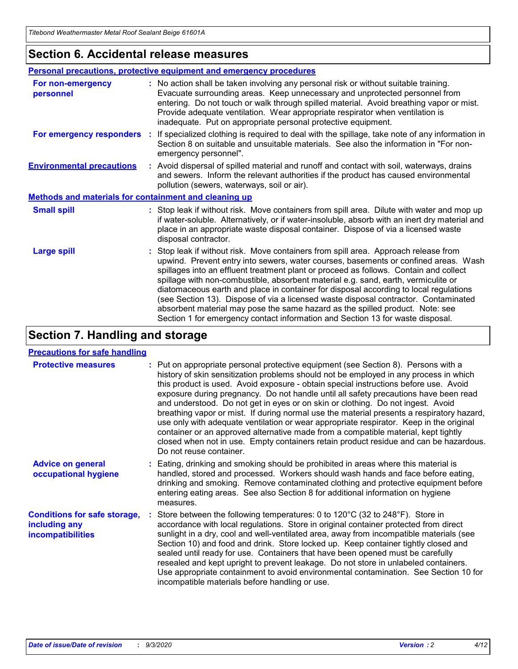### **Section 6. Accidental release measures**

|                                                              | <b>Personal precautions, protective equipment and emergency procedures</b>                                                                                                                                                                                                                                                                                                                                                                                                                                                                                                                                                                                                                                   |  |  |  |
|--------------------------------------------------------------|--------------------------------------------------------------------------------------------------------------------------------------------------------------------------------------------------------------------------------------------------------------------------------------------------------------------------------------------------------------------------------------------------------------------------------------------------------------------------------------------------------------------------------------------------------------------------------------------------------------------------------------------------------------------------------------------------------------|--|--|--|
| For non-emergency<br>personnel                               | : No action shall be taken involving any personal risk or without suitable training.<br>Evacuate surrounding areas. Keep unnecessary and unprotected personnel from<br>entering. Do not touch or walk through spilled material. Avoid breathing vapor or mist.<br>Provide adequate ventilation. Wear appropriate respirator when ventilation is<br>inadequate. Put on appropriate personal protective equipment.                                                                                                                                                                                                                                                                                             |  |  |  |
| For emergency responders                                     | : If specialized clothing is required to deal with the spillage, take note of any information in<br>Section 8 on suitable and unsuitable materials. See also the information in "For non-<br>emergency personnel".                                                                                                                                                                                                                                                                                                                                                                                                                                                                                           |  |  |  |
| <b>Environmental precautions</b>                             | : Avoid dispersal of spilled material and runoff and contact with soil, waterways, drains<br>and sewers. Inform the relevant authorities if the product has caused environmental<br>pollution (sewers, waterways, soil or air).                                                                                                                                                                                                                                                                                                                                                                                                                                                                              |  |  |  |
| <b>Methods and materials for containment and cleaning up</b> |                                                                                                                                                                                                                                                                                                                                                                                                                                                                                                                                                                                                                                                                                                              |  |  |  |
| <b>Small spill</b>                                           | : Stop leak if without risk. Move containers from spill area. Dilute with water and mop up<br>if water-soluble. Alternatively, or if water-insoluble, absorb with an inert dry material and<br>place in an appropriate waste disposal container. Dispose of via a licensed waste<br>disposal contractor.                                                                                                                                                                                                                                                                                                                                                                                                     |  |  |  |
| <b>Large spill</b>                                           | : Stop leak if without risk. Move containers from spill area. Approach release from<br>upwind. Prevent entry into sewers, water courses, basements or confined areas. Wash<br>spillages into an effluent treatment plant or proceed as follows. Contain and collect<br>spillage with non-combustible, absorbent material e.g. sand, earth, vermiculite or<br>diatomaceous earth and place in container for disposal according to local regulations<br>(see Section 13). Dispose of via a licensed waste disposal contractor. Contaminated<br>absorbent material may pose the same hazard as the spilled product. Note: see<br>Section 1 for emergency contact information and Section 13 for waste disposal. |  |  |  |

### **Section 7. Handling and storage**

### **Precautions for safe handling**

| <b>Protective measures</b>                                                       | : Put on appropriate personal protective equipment (see Section 8). Persons with a<br>history of skin sensitization problems should not be employed in any process in which<br>this product is used. Avoid exposure - obtain special instructions before use. Avoid<br>exposure during pregnancy. Do not handle until all safety precautions have been read<br>and understood. Do not get in eyes or on skin or clothing. Do not ingest. Avoid<br>breathing vapor or mist. If during normal use the material presents a respiratory hazard,<br>use only with adequate ventilation or wear appropriate respirator. Keep in the original<br>container or an approved alternative made from a compatible material, kept tightly<br>closed when not in use. Empty containers retain product residue and can be hazardous.<br>Do not reuse container. |
|----------------------------------------------------------------------------------|--------------------------------------------------------------------------------------------------------------------------------------------------------------------------------------------------------------------------------------------------------------------------------------------------------------------------------------------------------------------------------------------------------------------------------------------------------------------------------------------------------------------------------------------------------------------------------------------------------------------------------------------------------------------------------------------------------------------------------------------------------------------------------------------------------------------------------------------------|
| <b>Advice on general</b><br>occupational hygiene                                 | : Eating, drinking and smoking should be prohibited in areas where this material is<br>handled, stored and processed. Workers should wash hands and face before eating,<br>drinking and smoking. Remove contaminated clothing and protective equipment before<br>entering eating areas. See also Section 8 for additional information on hygiene<br>measures.                                                                                                                                                                                                                                                                                                                                                                                                                                                                                    |
| <b>Conditions for safe storage,</b><br>including any<br><i>incompatibilities</i> | Store between the following temperatures: 0 to 120°C (32 to 248°F). Store in<br>accordance with local regulations. Store in original container protected from direct<br>sunlight in a dry, cool and well-ventilated area, away from incompatible materials (see<br>Section 10) and food and drink. Store locked up. Keep container tightly closed and<br>sealed until ready for use. Containers that have been opened must be carefully<br>resealed and kept upright to prevent leakage. Do not store in unlabeled containers.<br>Use appropriate containment to avoid environmental contamination. See Section 10 for<br>incompatible materials before handling or use.                                                                                                                                                                         |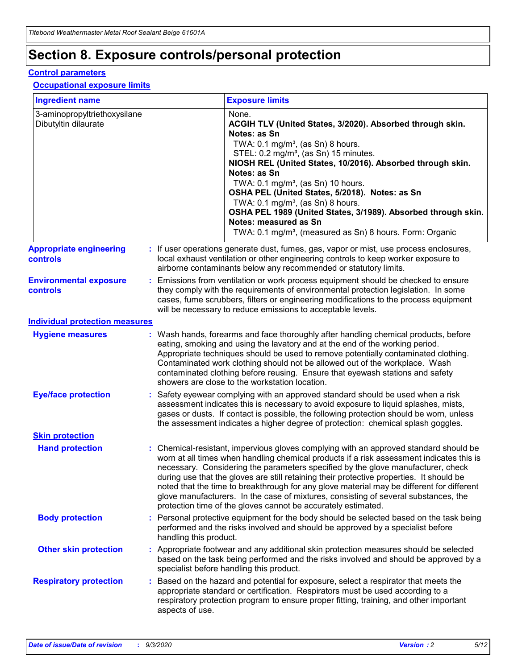## **Section 8. Exposure controls/personal protection**

### **Control parameters**

#### **Occupational exposure limits**

| <b>Ingredient name</b>                               |    |                        | <b>Exposure limits</b>                                                                                                                                                                                                                                                                                                                                                                                                                                                                                                                                                                                                 |
|------------------------------------------------------|----|------------------------|------------------------------------------------------------------------------------------------------------------------------------------------------------------------------------------------------------------------------------------------------------------------------------------------------------------------------------------------------------------------------------------------------------------------------------------------------------------------------------------------------------------------------------------------------------------------------------------------------------------------|
| 3-aminopropyltriethoxysilane<br>Dibutyltin dilaurate |    |                        | None.<br>ACGIH TLV (United States, 3/2020). Absorbed through skin.<br>Notes: as Sn<br>TWA: $0.1 \text{ mg/m}^3$ , (as Sn) 8 hours.<br>STEL: 0.2 mg/m <sup>3</sup> , (as Sn) 15 minutes.<br>NIOSH REL (United States, 10/2016). Absorbed through skin.<br>Notes: as Sn<br>TWA: 0.1 mg/m <sup>3</sup> , (as Sn) 10 hours.<br>OSHA PEL (United States, 5/2018). Notes: as Sn<br>TWA: $0.1 \text{ mg/m}^3$ , (as Sn) 8 hours.<br>OSHA PEL 1989 (United States, 3/1989). Absorbed through skin.<br>Notes: measured as Sn<br>TWA: 0.1 mg/m <sup>3</sup> , (measured as Sn) 8 hours. Form: Organic                            |
| <b>Appropriate engineering</b><br>controls           |    |                        | : If user operations generate dust, fumes, gas, vapor or mist, use process enclosures,<br>local exhaust ventilation or other engineering controls to keep worker exposure to<br>airborne contaminants below any recommended or statutory limits.                                                                                                                                                                                                                                                                                                                                                                       |
| <b>Environmental exposure</b><br>controls            |    |                        | Emissions from ventilation or work process equipment should be checked to ensure<br>they comply with the requirements of environmental protection legislation. In some<br>cases, fume scrubbers, filters or engineering modifications to the process equipment<br>will be necessary to reduce emissions to acceptable levels.                                                                                                                                                                                                                                                                                          |
| <b>Individual protection measures</b>                |    |                        |                                                                                                                                                                                                                                                                                                                                                                                                                                                                                                                                                                                                                        |
| <b>Hygiene measures</b>                              |    |                        | : Wash hands, forearms and face thoroughly after handling chemical products, before<br>eating, smoking and using the lavatory and at the end of the working period.<br>Appropriate techniques should be used to remove potentially contaminated clothing.<br>Contaminated work clothing should not be allowed out of the workplace. Wash<br>contaminated clothing before reusing. Ensure that eyewash stations and safety<br>showers are close to the workstation location.                                                                                                                                            |
| <b>Eye/face protection</b>                           |    |                        | : Safety eyewear complying with an approved standard should be used when a risk<br>assessment indicates this is necessary to avoid exposure to liquid splashes, mists,<br>gases or dusts. If contact is possible, the following protection should be worn, unless<br>the assessment indicates a higher degree of protection: chemical splash goggles.                                                                                                                                                                                                                                                                  |
| <b>Skin protection</b>                               |    |                        |                                                                                                                                                                                                                                                                                                                                                                                                                                                                                                                                                                                                                        |
| <b>Hand protection</b>                               |    |                        | : Chemical-resistant, impervious gloves complying with an approved standard should be<br>worn at all times when handling chemical products if a risk assessment indicates this is<br>necessary. Considering the parameters specified by the glove manufacturer, check<br>during use that the gloves are still retaining their protective properties. It should be<br>noted that the time to breakthrough for any glove material may be different for different<br>glove manufacturers. In the case of mixtures, consisting of several substances, the<br>protection time of the gloves cannot be accurately estimated. |
| <b>Body protection</b>                               |    | handling this product. | Personal protective equipment for the body should be selected based on the task being<br>performed and the risks involved and should be approved by a specialist before                                                                                                                                                                                                                                                                                                                                                                                                                                                |
| <b>Other skin protection</b>                         |    |                        | : Appropriate footwear and any additional skin protection measures should be selected<br>based on the task being performed and the risks involved and should be approved by a<br>specialist before handling this product.                                                                                                                                                                                                                                                                                                                                                                                              |
| <b>Respiratory protection</b>                        | ÷. | aspects of use.        | Based on the hazard and potential for exposure, select a respirator that meets the<br>appropriate standard or certification. Respirators must be used according to a<br>respiratory protection program to ensure proper fitting, training, and other important                                                                                                                                                                                                                                                                                                                                                         |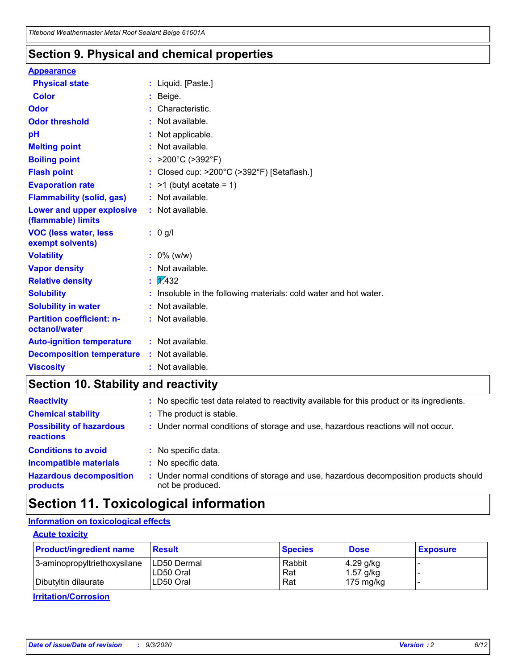### **Section 9. Physical and chemical properties**

#### **Appearance**

| <b>Physical state</b>                             | : Liquid. [Paste.]                                              |
|---------------------------------------------------|-----------------------------------------------------------------|
| <b>Color</b>                                      | Beige.                                                          |
| Odor                                              | Characteristic.                                                 |
| <b>Odor threshold</b>                             | Not available.                                                  |
| рH                                                | Not applicable.                                                 |
| <b>Melting point</b>                              | : Not available.                                                |
| <b>Boiling point</b>                              | >200°C (>392°F)                                                 |
| <b>Flash point</b>                                | Closed cup: >200°C (>392°F) [Setaflash.]                        |
| <b>Evaporation rate</b>                           | $:$ >1 (butyl acetate = 1)                                      |
| <b>Flammability (solid, gas)</b>                  | : Not available.                                                |
| Lower and upper explosive<br>(flammable) limits   | : Not available.                                                |
| <b>VOC (less water, less)</b><br>exempt solvents) | : 0 g/l                                                         |
| <b>Volatility</b>                                 | $: 0\%$ (w/w)                                                   |
| <b>Vapor density</b>                              | Not available.                                                  |
| <b>Relative density</b>                           | $\mathbf{1}$ $\mathbf{\sqrt{432}}$                              |
| <b>Solubility</b>                                 | Insoluble in the following materials: cold water and hot water. |
| <b>Solubility in water</b>                        | Not available.                                                  |
| <b>Partition coefficient: n-</b><br>octanol/water | $:$ Not available.                                              |
| <b>Auto-ignition temperature</b>                  | : Not available.                                                |
| <b>Decomposition temperature</b>                  | : Not available.                                                |
| <b>Viscosity</b>                                  | $:$ Not available.                                              |

## **Section 10. Stability and reactivity**

| <b>Reactivity</b>                            |    | : No specific test data related to reactivity available for this product or its ingredients.            |
|----------------------------------------------|----|---------------------------------------------------------------------------------------------------------|
| <b>Chemical stability</b>                    |    | : The product is stable.                                                                                |
| <b>Possibility of hazardous</b><br>reactions |    | : Under normal conditions of storage and use, hazardous reactions will not occur.                       |
| <b>Conditions to avoid</b>                   |    | : No specific data.                                                                                     |
| <b>Incompatible materials</b>                | ٠. | No specific data.                                                                                       |
| <b>Hazardous decomposition</b><br>products   | ÷. | Under normal conditions of storage and use, hazardous decomposition products should<br>not be produced. |

## **Section 11. Toxicological information**

### **Information on toxicological effects**

### **Acute toxicity**

| <b>Product/ingredient name</b> | <b>Result</b>           | <b>Species</b> | <b>Dose</b>                | <b>Exposure</b> |
|--------------------------------|-------------------------|----------------|----------------------------|-----------------|
| 3-aminopropyltriethoxysilane   | <b>ILD50 Dermal</b>     | Rabbit         | 4.29 g/kg                  |                 |
| Dibutyltin dilaurate           | ILD50 Oral<br>LD50 Oral | Rat<br>Rat     | $1.57$ g/kg<br>175 $mg/kg$ |                 |
|                                |                         |                |                            |                 |

**Irritation/Corrosion**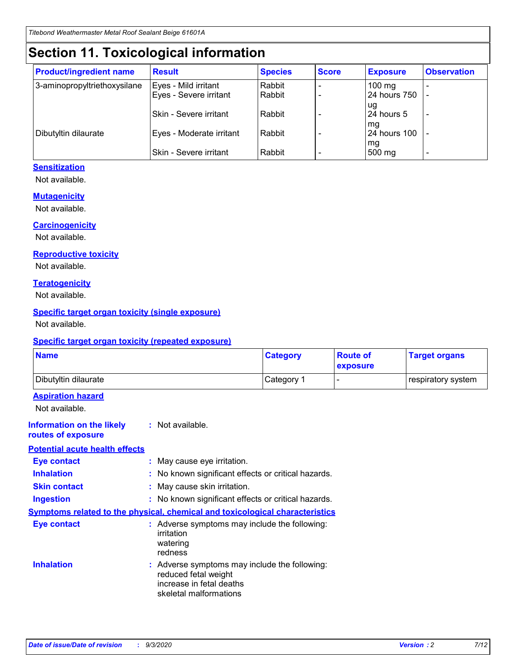## **Section 11. Toxicological information**

| <b>Product/ingredient name</b> | <b>Result</b>            | <b>Species</b> | <b>Score</b> | <b>Exposure</b>           | <b>Observation</b> |
|--------------------------------|--------------------------|----------------|--------------|---------------------------|--------------------|
| 3-aminopropyltriethoxysilane   | Eyes - Mild irritant     | Rabbit         |              | $100$ mg                  |                    |
|                                | Eyes - Severe irritant   | Rabbit         |              | 24 hours 750              |                    |
|                                |                          |                |              | ug                        |                    |
|                                | Skin - Severe irritant   | Rabbit         |              | 24 hours 5                | -                  |
| Dibutyltin dilaurate           | Eyes - Moderate irritant | Rabbit         |              | mg<br><b>24 hours 100</b> |                    |
|                                |                          |                |              | mg                        |                    |
|                                | Skin - Severe irritant   | Rabbit         |              | 500 mg                    | -                  |

### **Sensitization**

Not available.

### **Mutagenicity**

Not available.

### **Carcinogenicity**

Not available.

#### **Reproductive toxicity**

Not available.

### **Teratogenicity**

Not available.

### **Specific target organ toxicity (single exposure)**

Not available.

### **Specific target organ toxicity (repeated exposure)**

| <b>Name</b>                                                                         |                                                                            | <b>Category</b>                                     | <b>Route of</b><br>exposure | <b>Target organs</b> |  |
|-------------------------------------------------------------------------------------|----------------------------------------------------------------------------|-----------------------------------------------------|-----------------------------|----------------------|--|
| Dibutyltin dilaurate                                                                |                                                                            | Category 1                                          |                             | respiratory system   |  |
| <b>Aspiration hazard</b><br>Not available.                                          |                                                                            |                                                     |                             |                      |  |
| <b>Information on the likely</b><br>routes of exposure                              | : Not available.                                                           |                                                     |                             |                      |  |
| <b>Potential acute health effects</b>                                               |                                                                            |                                                     |                             |                      |  |
| <b>Eye contact</b>                                                                  | : May cause eye irritation.                                                |                                                     |                             |                      |  |
| <b>Inhalation</b>                                                                   |                                                                            | : No known significant effects or critical hazards. |                             |                      |  |
| <b>Skin contact</b>                                                                 |                                                                            | : May cause skin irritation.                        |                             |                      |  |
| <b>Ingestion</b>                                                                    |                                                                            | : No known significant effects or critical hazards. |                             |                      |  |
| <b>Symptoms related to the physical, chemical and toxicological characteristics</b> |                                                                            |                                                     |                             |                      |  |
| <b>Eye contact</b>                                                                  | irritation<br>watering<br>redness                                          | : Adverse symptoms may include the following:       |                             |                      |  |
| <b>Inhalation</b>                                                                   | reduced fetal weight<br>increase in fetal deaths<br>skeletal malformations | : Adverse symptoms may include the following:       |                             |                      |  |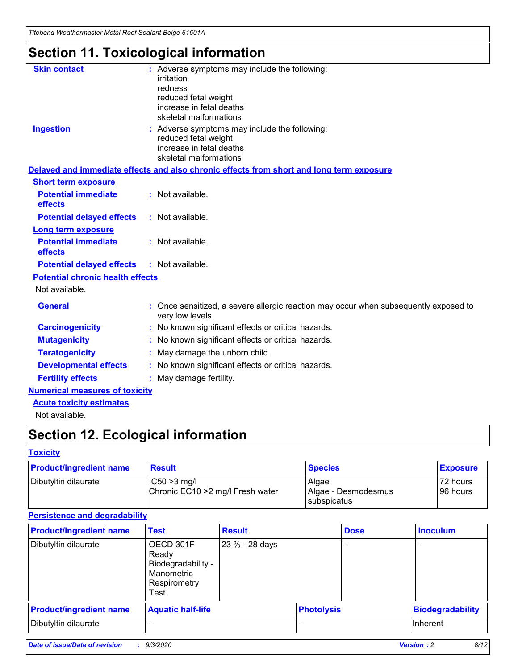*Titebond Weathermaster Metal Roof Sealant Beige 61601A*

## **Section 11. Toxicological information**

| <b>Skin contact</b>                     | : Adverse symptoms may include the following:<br>irritation                                            |
|-----------------------------------------|--------------------------------------------------------------------------------------------------------|
|                                         | redness                                                                                                |
|                                         | reduced fetal weight                                                                                   |
|                                         | increase in fetal deaths                                                                               |
|                                         | skeletal malformations                                                                                 |
| <b>Ingestion</b>                        | : Adverse symptoms may include the following:<br>reduced fetal weight                                  |
|                                         | increase in fetal deaths                                                                               |
|                                         | skeletal malformations                                                                                 |
|                                         | Delayed and immediate effects and also chronic effects from short and long term exposure               |
| <b>Short term exposure</b>              |                                                                                                        |
| <b>Potential immediate</b><br>effects   | : Not available.                                                                                       |
| <b>Potential delayed effects</b>        | : Not available.                                                                                       |
| <b>Long term exposure</b>               |                                                                                                        |
| <b>Potential immediate</b><br>effects   | : Not available.                                                                                       |
| <b>Potential delayed effects</b>        | : Not available.                                                                                       |
| <b>Potential chronic health effects</b> |                                                                                                        |
| Not available.                          |                                                                                                        |
| <b>General</b>                          | Once sensitized, a severe allergic reaction may occur when subsequently exposed to<br>very low levels. |
| <b>Carcinogenicity</b>                  | No known significant effects or critical hazards.                                                      |
| <b>Mutagenicity</b>                     | : No known significant effects or critical hazards.                                                    |
| <b>Teratogenicity</b>                   | May damage the unborn child.                                                                           |
| <b>Developmental effects</b>            | : No known significant effects or critical hazards.                                                    |
| <b>Fertility effects</b>                | : May damage fertility.                                                                                |
| <b>Numerical measures of toxicity</b>   |                                                                                                        |
| <b>Acute toxicity estimates</b>         |                                                                                                        |
| Not ovoilable                           |                                                                                                        |

Not available.

## **Section 12. Ecological information**

### **Toxicity**

| <b>Product/ingredient name</b> | <b>Result</b>                                       | <b>Species</b>               | <b>Exposure</b>       |
|--------------------------------|-----------------------------------------------------|------------------------------|-----------------------|
| Dibutyltin dilaurate           | $ CC50>3$ mg/l<br>Chronic EC10 > 2 mg/l Fresh water | Algae<br>Algae - Desmodesmus | 72 hours<br>196 hours |
|                                |                                                     | <b>I</b> subspicatus         |                       |

### **Persistence and degradability**

| <b>Product/ingredient name</b> | <b>Test</b>                                                                    | <b>Result</b>  |                   | <b>Dose</b> | <b>Inoculum</b>         |
|--------------------------------|--------------------------------------------------------------------------------|----------------|-------------------|-------------|-------------------------|
| Dibutyltin dilaurate           | OECD 301F<br>Ready<br>Biodegradability -<br>Manometric<br>Respirometry<br>Test | 23 % - 28 days |                   |             |                         |
| <b>Product/ingredient name</b> | <b>Aquatic half-life</b>                                                       |                | <b>Photolysis</b> |             | <b>Biodegradability</b> |
| Dibutyltin dilaurate           |                                                                                |                |                   |             | <b>Inherent</b>         |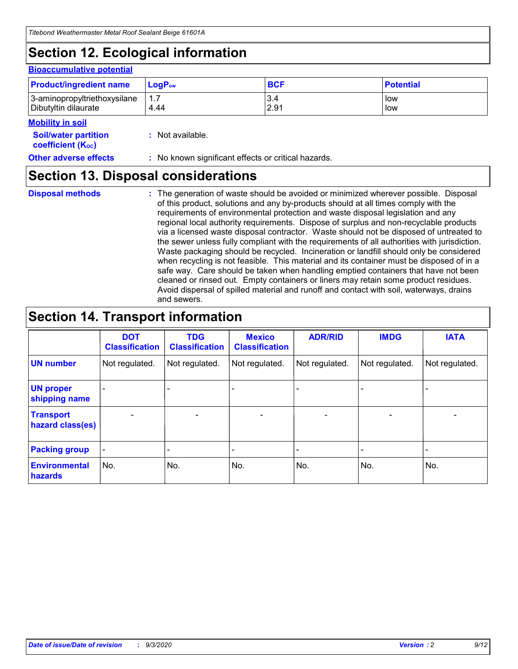## **Section 12. Ecological information**

#### **Bioaccumulative potential**

| <b>Product/ingredient name</b> | $LoaPow$ | <b>BCF</b> | <b>Potential</b> |
|--------------------------------|----------|------------|------------------|
| 3-aminopropyltriethoxysilane   | 1.7      | 3.4        | low              |
| Dibutyltin dilaurate           | 4.44     | 2.91       | low              |

#### **Mobility in soil**

| <b>Soil/water partition</b>           | : Not available. |
|---------------------------------------|------------------|
| <b>coefficient</b> (K <sub>oc</sub> ) |                  |

### **Other adverse effects** : No known significant effects or critical hazards.

### **Section 13. Disposal considerations**

**Disposal methods :**

The generation of waste should be avoided or minimized wherever possible. Disposal of this product, solutions and any by-products should at all times comply with the requirements of environmental protection and waste disposal legislation and any regional local authority requirements. Dispose of surplus and non-recyclable products via a licensed waste disposal contractor. Waste should not be disposed of untreated to the sewer unless fully compliant with the requirements of all authorities with jurisdiction. Waste packaging should be recycled. Incineration or landfill should only be considered when recycling is not feasible. This material and its container must be disposed of in a safe way. Care should be taken when handling emptied containers that have not been cleaned or rinsed out. Empty containers or liners may retain some product residues. Avoid dispersal of spilled material and runoff and contact with soil, waterways, drains and sewers.

## **Section 14. Transport information**

|                                      | <b>DOT</b><br><b>Classification</b> | <b>TDG</b><br><b>Classification</b> | <b>Mexico</b><br><b>Classification</b> | <b>ADR/RID</b>               | <b>IMDG</b>              | <b>IATA</b>    |
|--------------------------------------|-------------------------------------|-------------------------------------|----------------------------------------|------------------------------|--------------------------|----------------|
| <b>UN number</b>                     | Not regulated.                      | Not regulated.                      | Not regulated.                         | Not regulated.               | Not regulated.           | Not regulated. |
| <b>UN proper</b><br>shipping name    |                                     |                                     |                                        |                              |                          |                |
| <b>Transport</b><br>hazard class(es) | $\overline{\phantom{m}}$            | $\overline{\phantom{0}}$            | $\qquad \qquad$                        | $\qquad \qquad \blacksquare$ | $\overline{\phantom{0}}$ |                |
| <b>Packing group</b>                 | -                                   |                                     |                                        |                              |                          |                |
| <b>Environmental</b><br>hazards      | No.                                 | No.                                 | No.                                    | No.                          | No.                      | No.            |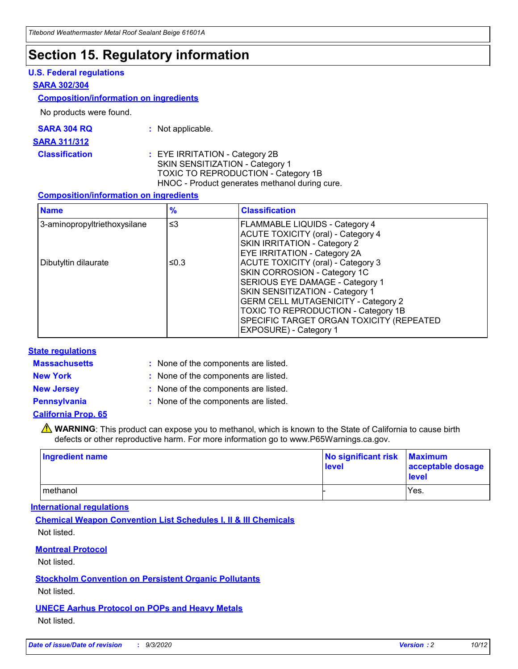### **Section 15. Regulatory information**

### **U.S. Federal regulations**

#### **SARA 302/304**

#### **Composition/information on ingredients**

No products were found.

| SARA 304 RQ | Not applicable. |
|-------------|-----------------|
|-------------|-----------------|

#### **SARA 311/312**

**Classification :** EYE IRRITATION - Category 2B SKIN SENSITIZATION - Category 1 TOXIC TO REPRODUCTION - Category 1B HNOC - Product generates methanol during cure.

### **Composition/information on ingredients**

| <b>Name</b>                  | $\frac{9}{6}$ | <b>Classification</b>                                                                                                                                                                                                                                                                                      |
|------------------------------|---------------|------------------------------------------------------------------------------------------------------------------------------------------------------------------------------------------------------------------------------------------------------------------------------------------------------------|
| 3-aminopropyltriethoxysilane | $\leq$ 3      | <b>FLAMMABLE LIQUIDS - Category 4</b><br><b>ACUTE TOXICITY (oral) - Category 4</b><br><b>SKIN IRRITATION - Category 2</b><br>EYE IRRITATION - Category 2A                                                                                                                                                  |
| Dibutyltin dilaurate         | ≤0.3          | <b>ACUTE TOXICITY (oral) - Category 3</b><br>SKIN CORROSION - Category 1C<br>SERIOUS EYE DAMAGE - Category 1<br>SKIN SENSITIZATION - Category 1<br><b>GERM CELL MUTAGENICITY - Category 2</b><br>TOXIC TO REPRODUCTION - Category 1B<br>SPECIFIC TARGET ORGAN TOXICITY (REPEATED<br>EXPOSURE) - Category 1 |

### **State regulations**

**Massachusetts :**

: None of the components are listed.

**New York :** None of the components are listed. **New Jersey :** None of the components are listed.

**Pennsylvania :** None of the components are listed.

### **California Prop. 65**

WARNING: This product can expose you to methanol, which is known to the State of California to cause birth defects or other reproductive harm. For more information go to www.P65Warnings.ca.gov.

| Ingredient name | No significant risk Maximum<br>level | acceptable dosage<br><b>level</b> |
|-----------------|--------------------------------------|-----------------------------------|
| I methanol      |                                      | Yes.                              |

### **International regulations**

**Chemical Weapon Convention List Schedules I, II & III Chemicals** Not listed.

**Montreal Protocol**

Not listed.

**Stockholm Convention on Persistent Organic Pollutants**

Not listed.

**UNECE Aarhus Protocol on POPs and Heavy Metals** Not listed.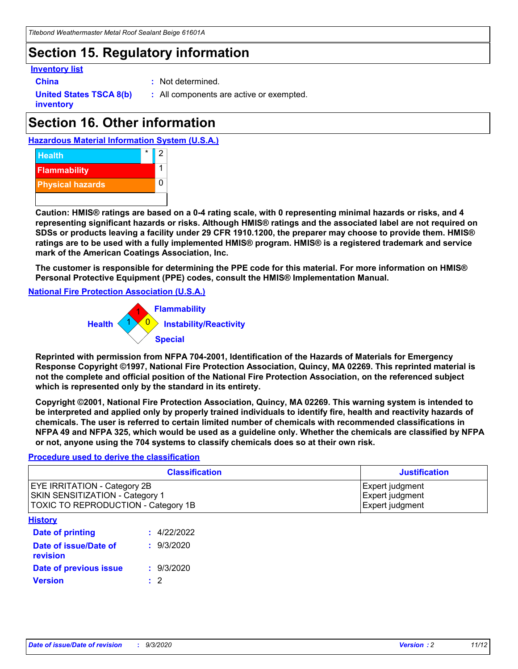## **Section 15. Regulatory information**

### **Inventory list**

- 
- **China :** Not determined.

**United States TSCA 8(b) inventory**

**:** All components are active or exempted.

## **Section 16. Other information**





**Caution: HMIS® ratings are based on a 0-4 rating scale, with 0 representing minimal hazards or risks, and 4 representing significant hazards or risks. Although HMIS® ratings and the associated label are not required on SDSs or products leaving a facility under 29 CFR 1910.1200, the preparer may choose to provide them. HMIS® ratings are to be used with a fully implemented HMIS® program. HMIS® is a registered trademark and service mark of the American Coatings Association, Inc.**

**The customer is responsible for determining the PPE code for this material. For more information on HMIS® Personal Protective Equipment (PPE) codes, consult the HMIS® Implementation Manual.**

**National Fire Protection Association (U.S.A.)**



**Reprinted with permission from NFPA 704-2001, Identification of the Hazards of Materials for Emergency Response Copyright ©1997, National Fire Protection Association, Quincy, MA 02269. This reprinted material is not the complete and official position of the National Fire Protection Association, on the referenced subject which is represented only by the standard in its entirety.**

**Copyright ©2001, National Fire Protection Association, Quincy, MA 02269. This warning system is intended to be interpreted and applied only by properly trained individuals to identify fire, health and reactivity hazards of chemicals. The user is referred to certain limited number of chemicals with recommended classifications in NFPA 49 and NFPA 325, which would be used as a guideline only. Whether the chemicals are classified by NFPA or not, anyone using the 704 systems to classify chemicals does so at their own risk.**

### **Procedure used to derive the classification**

| <b>Classification</b>                                                                                                | <b>Justification</b>                                  |
|----------------------------------------------------------------------------------------------------------------------|-------------------------------------------------------|
| <b>EYE IRRITATION - Category 2B</b><br><b>SKIN SENSITIZATION - Category 1</b><br>TOXIC TO REPRODUCTION - Category 1B | Expert judgment<br>Expert judgment<br>Expert judgment |
| <b>History</b>                                                                                                       |                                                       |

| <b>Date of printing</b>           | : 4/22/2022 |
|-----------------------------------|-------------|
| Date of issue/Date of<br>revision | : 9/3/2020  |
| Date of previous issue            | : 9/3/2020  |
| <b>Version</b>                    | $\cdot$ 2   |
|                                   |             |